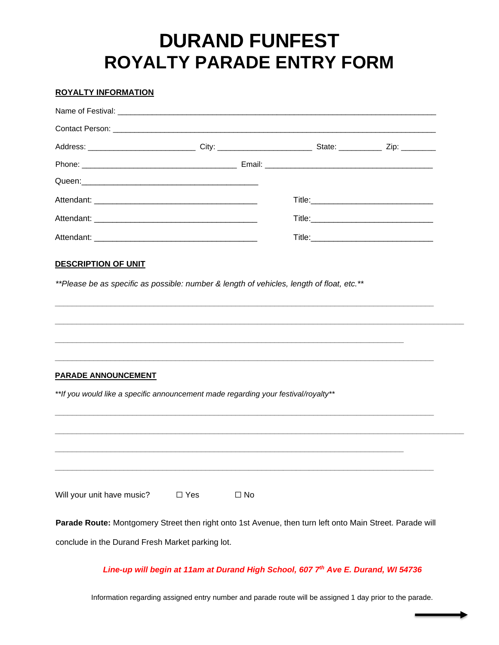## **DURAND FUNFEST ROYALTY PARADE ENTRY FORM**

## **ROYALTY INFORMATION**

| Address: _____________________________City: ___________________________State: ______________Zip: ________ |               |              |  |  |  |
|-----------------------------------------------------------------------------------------------------------|---------------|--------------|--|--|--|
|                                                                                                           |               |              |  |  |  |
|                                                                                                           |               |              |  |  |  |
|                                                                                                           |               |              |  |  |  |
|                                                                                                           |               |              |  |  |  |
|                                                                                                           |               |              |  |  |  |
| <b>DESCRIPTION OF UNIT</b>                                                                                |               |              |  |  |  |
| **Please be as specific as possible: number & length of vehicles, length of float, etc.**                 |               |              |  |  |  |
|                                                                                                           |               |              |  |  |  |
|                                                                                                           |               |              |  |  |  |
|                                                                                                           |               |              |  |  |  |
|                                                                                                           |               |              |  |  |  |
| <b>PARADE ANNOUNCEMENT</b>                                                                                |               |              |  |  |  |
| **If you would like a specific announcement made regarding your festival/royalty**                        |               |              |  |  |  |
|                                                                                                           |               |              |  |  |  |
|                                                                                                           |               |              |  |  |  |
|                                                                                                           |               |              |  |  |  |
|                                                                                                           |               |              |  |  |  |
|                                                                                                           |               |              |  |  |  |
| Will your unit have music?                                                                                | $\square$ Yes | $\square$ No |  |  |  |
| Parade Route: Montgomery Street then right onto 1st Avenue, then turn left onto Main Street. Parade will  |               |              |  |  |  |
| conclude in the Durand Fresh Market parking lot.                                                          |               |              |  |  |  |
|                                                                                                           |               |              |  |  |  |

## *Line-up will begin at 11am at Durand High School, 607 7th Ave E. Durand, WI 54736*

Information regarding assigned entry number and parade route will be assigned 1 day prior to the parade.